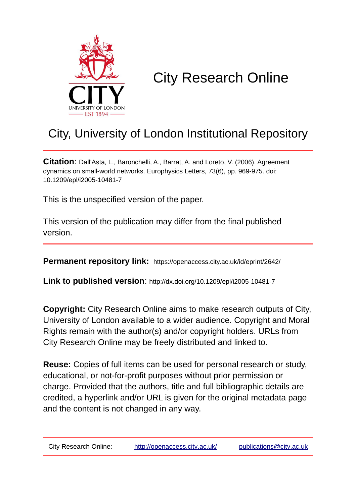

## City Research Online

## City, University of London Institutional Repository

**Citation**: Dall'Asta, L., Baronchelli, A., Barrat, A. and Loreto, V. (2006). Agreement dynamics on small-world networks. Europhysics Letters, 73(6), pp. 969-975. doi: 10.1209/epl/i2005-10481-7

This is the unspecified version of the paper.

This version of the publication may differ from the final published version.

**Permanent repository link:** https://openaccess.city.ac.uk/id/eprint/2642/

**Link to published version**: http://dx.doi.org/10.1209/epl/i2005-10481-7

**Copyright:** City Research Online aims to make research outputs of City, University of London available to a wider audience. Copyright and Moral Rights remain with the author(s) and/or copyright holders. URLs from City Research Online may be freely distributed and linked to.

**Reuse:** Copies of full items can be used for personal research or study, educational, or not-for-profit purposes without prior permission or charge. Provided that the authors, title and full bibliographic details are credited, a hyperlink and/or URL is given for the original metadata page and the content is not changed in any way.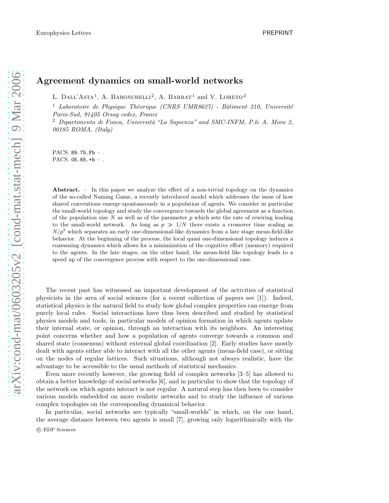## Agreement dynamics on small-world networks

L. DALL'ASTA<sup>1</sup>, A. BARONCHELLI<sup>2</sup>, A. BARRAT<sup>1</sup> and V. LORETO<sup>2</sup>

<sup>1</sup> Laboratoire de Physique Théorique (CNRS UMR8627) - Bâtiment 210, Université *Paris-Sud, 91405 Orsay cedex, France*

<sup>2</sup> Dipartimento di Fisica, Università "La Sapienza" and SMC-INFM, P.le A. Moro 2, *00185 ROMA, (Italy)*

PACS. 89.75. Fb -. PACS.  $05.65.+b-.$ 

Abstract. – In this paper we analyze the effect of a non-trivial topology on the dynamics of the so-called Naming Game, a recently introduced model which addresses the issue of how shared conventions emerge spontaneously in a population of agents. We consider in particular the small-world topology and study the convergence towards the global agreement as a function of the population size  $N$  as well as of the parameter  $p$  which sets the rate of rewiring leading to the small-world network. As long as  $p \gg 1/N$  there exists a crossover time scaling as  $N/p^2$  which separates an early one-dimensional-like dynamics from a late stage mean-field-like behavior. At the beginning of the process, the local quasi one-dimensional topology induces a coarsening dynamics which allows for a minimization of the cognitive effort (memory) required to the agents. In the late stages, on the other hand, the mean-field like topology leads to a speed up of the convergence process with respect to the one-dimensional case.

The recent past has witnessed an important development of the activities of statistical physicists in the area of social sciences (for a recent collection of papers see [1]). Indeed, statistical physics is the natural field to study how global complex properties can emerge from purely local rules. Social interactions have thus been described and studied by statistical physics models and tools, in particular models of opinion formation in which agents update their internal state, or opinion, through an interaction with its neighbors. An interesting point concerns whether and how a population of agents converge towards a common and shared state (consensus) without external global coordination [2]. Early studies have mostly dealt with agents either able to interact with all the other agents (mean-field case), or sitting on the nodes of regular lattices. Such situations, although not always realistic, have the advantage to be accessible to the usual methods of statistical mechanics.

Even more recently however, the growing field of complex networks [3–5] has allowed to obtain a better knowledge of social networks [6], and in particular to show that the topology of the network on which agents interact is not regular. A natural step has then been to consider various models embedded on more realistic networks and to study the influence of various complex topologies on the corresponding dynamical behavior.

In particular, social networks are typically "small-worlds" in which, on the one hand, the average distance between two agents is small [7], growing only logarithmically with the c EDP Sciences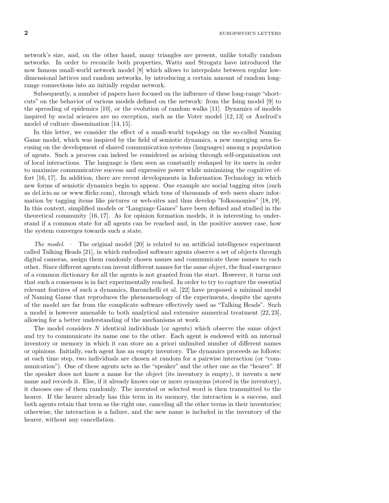$2$  EUROPHYSICS LETTERS

network's size, and, on the other hand, many triangles are present, unlike totally random networks. In order to reconcile both properties, Watts and Strogatz have introduced the now famous small-world network model [8] which allows to interpolate between regular lowdimensional lattices and random networks, by introducing a certain amount of random longrange connections into an initially regular network.

Subsequently, a number of papers have focused on the influence of these long-range "shortcuts" on the behavior of various models defined on the network: from the Ising model [9] to the spreading of epidemics [10], or the evolution of random walks [11]. Dynamics of models inspired by social sciences are no exception, such as the Voter model [12, 13] or Axelrod's model of culture dissemination [14, 15].

In this letter, we consider the effect of a small-world topology on the so-called Naming Game model, which was inspired by the field of semiotic dynamics, a new emerging area focusing on the development of shared communication systems (languages) among a population of agents. Such a process can indeed be considered as arising through self-organization out of local interactions. The language is then seen as constantly reshaped by its users in order to maximize communicative success and expressive power while minimizing the cognitive effort [16, 17]. In addition, there are recent developments in Information Technology in which new forms of semiotic dynamics begin to appear. One example are social tagging sites (such as del.icio.us or www.flickr.com), through which tens of thousands of web users share information by tagging items like pictures or web-sites and thus develop "folksonomies" [18, 19]. In this context, simplified models or "Language Games" have been defined and studied in the theoretical community [16, 17]. As for opinion formation models, it is interesting to understand if a common state for all agents can be reached and, in the positive answer case, how the system converges towards such a state.

*The model. –* The original model [20] is related to an artificial intelligence experiment called Talking Heads [21], in which embodied software agents observe a set of objects through digital cameras, assign them randomly chosen names and communicate these names to each other. Since different agents can invent different names for the same object, the final emergence of a common dictionary for all the agents is not granted from the start. However, it turns out that such a consensus is in fact experimentally reached. In order to try to capture the essential relevant features of such a dynamics, Baronchelli et al. [22] have proposed a minimal model of Naming Game that reproduces the phenomenology of the experiments, despite the agents of the model are far from the complicate software effectively used as "Talking Heads". Such a model is however amenable to both analytical and extensive numerical treatment [22, 23], allowing for a better understanding of the mechanisms at work.

The model considers  $N$  identical individuals (or agents) which observe the same object and try to communicate its name one to the other. Each agent is endowed with an internal inventory or memory in which it can store an a priori unlimited number of different names or opinions. Initially, each agent has an empty inventory. The dynamics proceeds as follows: at each time step, two individuals are chosen at random for a pairwise interaction (or "communication"). One of these agents acts as the "speaker" and the other one as the "hearer". If the speaker does not know a name for the object (its inventory is empty), it invents a new name and records it. Else, if it already knows one or more synonyms (stored in the inventory), it chooses one of them randomly. The invented or selected word is then transmitted to the hearer. If the hearer already has this term in its memory, the interaction is a success, and both agents retain that term as the right one, canceling all the other terms in their inventories; otherwise, the interaction is a failure, and the new name is included in the inventory of the hearer, without any cancellation.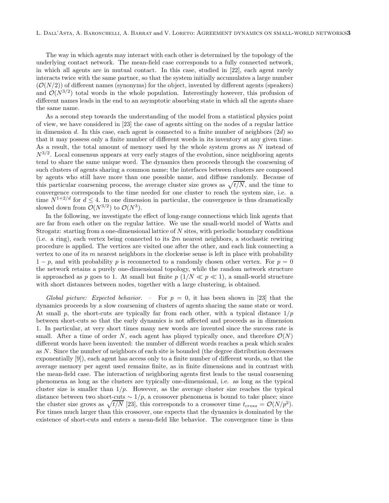The way in which agents may interact with each other is determined by the topology of the underlying contact network. The mean-field case corresponds to a fully connected network, in which all agents are in mutual contact. In this case, studied in [22], each agent rarely interacts twice with the same partner, so that the system initially accumulates a large number  $(\mathcal{O}(N/2))$  of different names (synonyms) for the object, invented by different agents (speakers) and  $\mathcal{O}(N^{3/2})$  total words in the whole population. Interestingly however, this profusion of different names leads in the end to an asymptotic absorbing state in which all the agents share the same name.

As a second step towards the understanding of the model from a statistical physics point of view, we have considered in [23] the case of agents sitting on the nodes of a regular lattice in dimension d. In this case, each agent is connected to a finite number of neighbors  $(2d)$  so that it may possess only a finite number of different words in its inventory at any given time. As a result, the total amount of memory used by the whole system grows as  $N$  instead of  $N^{3/2}$ . Local consensus appears at very early stages of the evolution, since neighboring agents tend to share the same unique word. The dynamics then proceeds through the coarsening of such clusters of agents sharing a common name; the interfaces between clusters are composed by agents who still have more than one possible name, and diffuse randomly. Because of this particular coarsening process, the average cluster size grows as  $\sqrt{t/N}$ , and the time to convergence corresponds to the time needed for one cluster to reach the system size, i.e. a time  $N^{1+2/d}$  for  $d \leq 4$ . In one dimension in particular, the convergence is thus dramatically slowed down from  $\mathcal{O}(N^{3/2})$  to  $\mathcal{O}(N^3)$ .

In the following, we investigate the effect of long-range connections which link agents that are far from each other on the regular lattice. We use the small-world model of Watts and Strogatz: starting from a one-dimensional lattice of N sites, with periodic boundary conditions (i.e. a ring), each vertex being connected to its  $2m$  nearest neighbors, a stochastic rewiring procedure is applied. The vertices are visited one after the other, and each link connecting a vertex to one of its  $m$  nearest neighbors in the clockwise sense is left in place with probability  $1 - p$ , and with probability p is reconnected to a randomly chosen other vertex. For  $p = 0$ the network retains a purely one-dimensional topology, while the random network structure is approached as p goes to 1. At small but finite  $p(1/N \ll p \ll 1)$ , a small-world structure with short distances between nodes, together with a large clustering, is obtained.

*Global picture: Expected behavior. –* For p = 0, it has been shown in [23] that the dynamics proceeds by a slow coarsening of clusters of agents sharing the same state or word. At small p, the short-cuts are typically far from each other, with a typical distance  $1/p$ between short-cuts so that the early dynamics is not affected and proceeds as in dimension 1. In particular, at very short times many new words are invented since the success rate is small. After a time of order N, each agent has played typically once, and therefore  $\mathcal{O}(N)$ different words have been invented: the number of different words reaches a peak which scales as N. Since the number of neighbors of each site is bounded (the degree distribution decreases exponentially [9]), each agent has access only to a finite number of different words, so that the average memory per agent used remains finite, as in finite dimensions and in contrast with the mean-field case. The interaction of neighboring agents first leads to the usual coarsening phenomena as long as the clusters are typically one-dimensional, i.e. as long as the typical cluster size is smaller than  $1/p$ . However, as the average cluster size reaches the typical distance between two short-cuts  $\sim 1/p$ , a crossover phenomena is bound to take place; since the cluster size grows as  $\sqrt{t/N}$  [23], this corresponds to a crossover time  $t_{cross} = \mathcal{O}(N/p^2)$ . For times much larger than this crossover, one expects that the dynamics is dominated by the existence of short-cuts and enters a mean-field like behavior. The convergence time is thus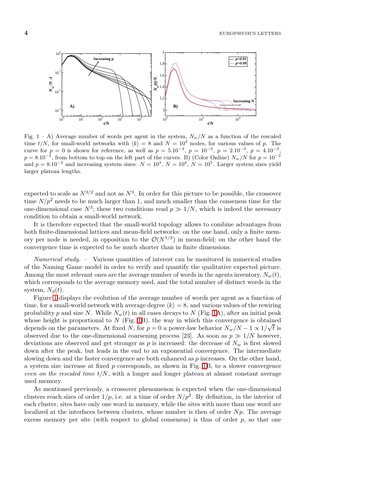

<span id="page-4-0"></span>Fig. 1 – A) Average number of words per agent in the system,  $N_w/N$  as a function of the rescaled time  $t/N$ , for small-world networks with  $\langle k \rangle = 8$  and  $N = 10^3$  nodes, for various values of p. The curve for  $p = 0$  is shown for reference, as well as  $p = 5.10^{-3}$ ,  $p = 10^{-2}$ ,  $p = 2.10^{-2}$ ,  $p = 4.10^{-2}$ ,  $p = 8.10^{-2}$ , from bottom to top on the left part of the curves. B) (Color Online)  $N_w/N$  for  $p = 10^{-2}$ and  $p = 8.10^{-2}$  and increasing system sizes:  $N = 10^{3}$ ,  $N = 10^{4}$ ,  $N = 10^{5}$ . Larger system sizes yield larger plateau lengths.

expected to scale as  $N^{3/2}$  and not as  $N^3$ . In order for this picture to be possible, the crossover time  $N/p^2$  needs to be much larger than 1, and much smaller than the consensus time for the one-dimensional case  $N^3$ ; these two conditions read  $p \gg 1/N$ , which is indeed the necessary condition to obtain a small-world network.

It is therefore expected that the small-world topology allows to combine advantages from both finite-dimensional lattices and mean-field networks: on the one hand, only a finite memory per node is needed, in opposition to the  $\mathcal{O}(N^{1/2})$  in mean-field; on the other hand the convergence time is expected to be much shorter than in finite dimensions.

*Numerical study. –* Various quantities of interest can be monitored in numerical studies of the Naming Game model in order to verify and quantify the qualitative expected picture. Among the most relevant ones are the average number of words in the agents inventory,  $N_w(t)$ , which corresponds to the average memory used, and the total number of distinct words in the system,  $N_d(t)$ .

Figure [1](#page-4-0) displays the evolution of the average number of words per agent as a function of time, for a small-world network with average degree  $\langle k \rangle = 8$ , and various values of the rewiring probability p and size N. While  $N_w(t)$  in all cases decays to N (Fig. [1A](#page-4-0)), after an initial peak whose height is proportional to  $N$  (Fig. [1B](#page-4-0)), the way in which this convergence is obtained depends on the parameters. At fixed N, for  $p = 0$  a power-law behavior  $N_w/N - 1 \propto 1/\sqrt{t}$  is observed due to the one-dimensional coarsening process [23]. As soon as  $p \gg 1/N$  however, deviations are observed and get stronger as p is increased: the decrease of  $N_w$  is first slowed down after the peak, but leads in the end to an exponential convergence. The intermediate slowing down and the faster convergence are both enhanced as p increases. On the other hand, a system size increase at fixed p corresponds, as shown in Fig. [1B](#page-4-0), to a slower convergence *even on the rescaled time*  $t/N$ , with a longer and longer plateau at almost constant average used memory.

As mentioned previously, a crossover phenomenon is expected when the one-dimensional clusters reach sizes of order  $1/p$ , i.e. at a time of order  $N/p^2$ . By definition, in the interior of each cluster, sites have only one word in memory, while the sites with more than one word are localized at the interfaces between clusters, whose number is then of order  $Np$ . The average excess memory per site (with respect to global consensus) is thus of order  $p$ , so that one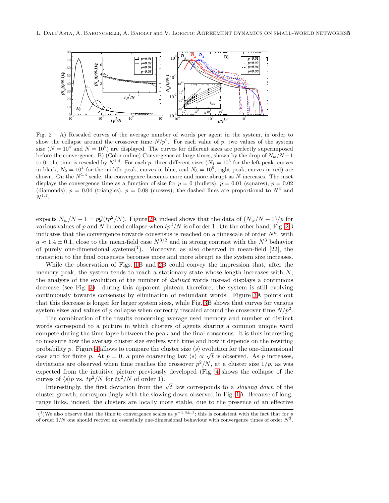

<span id="page-5-0"></span>Fig.  $2 - A$ ) Rescaled curves of the average number of words per agent in the system, in order to show the collapse around the crossover time  $N/p^2$ . For each value of p, two values of the system size  $(N = 10^4$  and  $N = 10^5)$  are displayed. The curves for different sizes are perfectly superimposed before the convergence. B) (Color online) Convergence at large times, shown by the drop of  $N_w/N - 1$ to 0: the time is rescaled by  $N^{1.4}$ . For each p, three different sizes  $(N_1 = 10^3$  for the left peak, curves in black,  $N_2 = 10^4$  for the middle peak, curves in blue, and  $N_3 = 10^5$ , right peak, curves in red) are shown. On the  $N^{1.4}$  scale, the convergence becomes more and more abrupt as N increases. The inset displays the convergence time as a function of size for  $p = 0$  (bullets),  $p = 0.01$  (squares),  $p = 0.02$ (diamonds),  $p = 0.04$  (triangles),  $p = 0.08$  (crosses); the dashed lines are proportional to  $N^3$  and  $N^{1.4}$ .

expects  $N_w/N - 1 = pG(tp^2/N)$ . Figure [2A](#page-5-0) indeed shows that the data of  $(N_w/N - 1)/p$  for various values of p and N indeed collapse when  $tp^2/N$  is of order 1. On the other hand, Fig. [2B](#page-5-0) indicates that the convergence towards consensus is reached on a timescale of order  $N^a$ , with  $a \approx 1.4 \pm 0.1$ , close to the mean-field case  $N^{3/2}$  and in strong contrast with the  $N^3$  behavior of purely one-dimensional systems<sup>(1</sup>). Moreover, as also observed in mean-field [22], the transition to the final consensus becomes more and more abrupt as the system size increases.

While the observation of Figs. [1B](#page-4-0) and [2B](#page-5-0) could convey the impression that, after the memory peak, the system tends to reach a stationary state whose length increases with  $N$ , the analysis of the evolution of the number of *distinct* words instead displays a continuous decrease (see Fig. [3\)](#page-6-0): during this apparent plateau therefore, the system is still evolving continuously towards consensus by elimination of redundant words. Figure [3A](#page-6-0) points out that this decrease is longer for larger system sizes, while Fig. [3B](#page-6-0) shows that curves for various system sizes and values of p collapse when correctly rescaled around the crossover time  $N/p^2$ .

The combination of the results concerning average used memory and number of distinct words correspond to a picture in which clusters of agents sharing a common unique word compete during the time lapse between the peak and the final consensus. It is thus interesting to measure how the average cluster size evolves with time and how it depends on the rewiring probability p. Figure [4](#page-6-1) allows to compare the cluster size  $\langle s \rangle$  evolution for the one-dimensional case and for finite p. At  $p = 0$ , a pure coarsening law  $\langle s \rangle \propto \sqrt{t}$  is observed. As p increases, deviations are observed when time reaches the crossover  $p^2/N$ , at a cluster size  $1/p$ , as was expected from the intuitive picture previously developed (Fig. [4](#page-6-1) shows the collapse of the curves of  $\langle s \rangle p$  vs.  $tp^2/N$  for  $tp^2/N$  of order 1).

Interestingly, the first deviation from the  $\sqrt{t}$  law corresponds to a *slowing down* of the cluster growth, correspondingly with the slowing down observed in Fig. [1A](#page-4-0). Because of longrange links, indeed, the clusters are locally more stable, due to the presence of an effective

<sup>&</sup>lt;sup>(1</sup>)We also observe that the time to convergence scales as  $p^{-1.4\pm .1}$ ; this is consistent with the fact that for p of order  $1/N$  one should recover an essentially one-dimensional behaviour with convergence times of order  $N^3$ .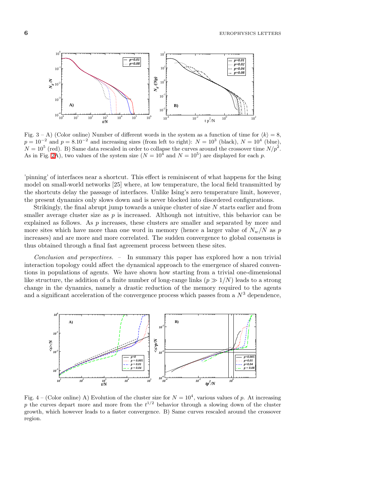6 EUROPHYSICS LETTERS



<span id="page-6-0"></span>Fig. 3 – A) (Color online) Number of different words in the system as a function of time for  $\langle k \rangle = 8$ ,  $p = 10^{-2}$  and  $p = 8.10^{-2}$  and increasing sizes (from left to right):  $N = 10^{3}$  (black),  $N = 10^{4}$  (blue),  $N = 10^5$  (red). B) Same data rescaled in order to collapse the curves around the crossover time  $N/p^2$ . As in Fig. [2A](#page-5-0)), two values of the system size  $(N = 10^4$  and  $N = 10^5)$  are displayed for each p.

'pinning' of interfaces near a shortcut. This effect is reminiscent of what happens for the Ising model on small-world networks [25] where, at low temperature, the local field transmitted by the shortcuts delay the passage of interfaces. Unlike Ising's zero temperature limit, however, the present dynamics only slows down and is never blocked into disordered configurations.

Strikingly, the final abrupt jump towards a unique cluster of size  $N$  starts earlier and from smaller average cluster size as  $p$  is increased. Although not intuitive, this behavior can be explained as follows. As  $p$  increases, these clusters are smaller and separated by more and more sites which have more than one word in memory (hence a larger value of  $N_w/N$  as p increases) and are more and more correlated. The sudden convergence to global consensus is thus obtained through a final fast agreement process between these sites.

*Conclusion and perspectives. –* In summary this paper has explored how a non trivial interaction topology could affect the dynamical approach to the emergence of shared conventions in populations of agents. We have shown how starting from a trivial one-dimensional like structure, the addition of a finite number of long-range links  $(p \gg 1/N)$  leads to a strong change in the dynamics, namely a drastic reduction of the memory required to the agents and a significant acceleration of the convergence process which passes from a  $N<sup>3</sup>$  dependence,



<span id="page-6-1"></span>Fig. 4 – (Color online) A) Evolution of the cluster size for  $N = 10^4$ , various values of p. At increasing p the curves depart more and more from the  $t^{1/2}$  behavior through a slowing down of the cluster growth, which however leads to a faster convergence. B) Same curves rescaled around the crossover region.